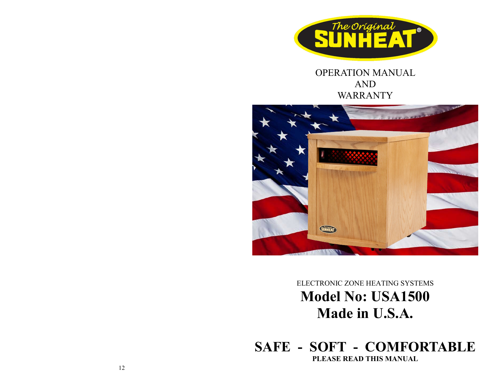

OPERATION MANUAL AND WARRANTY



# ELECTRONIC ZONE HEATING SYSTEMS **Model No: USA1500 Made in U.S.A.**

**SAFE - SOFT - COMFORTABLE PLEASE READ THIS MANUAL**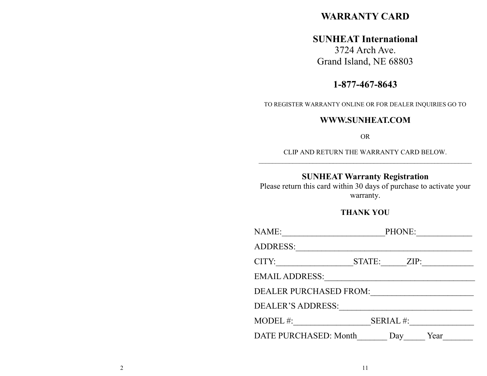## **WARRANTY CARD**

### **SUNHEAT International**

3724 Arch Ave. Grand Island, NE 68803

## **1-877-467-8643**

TO REGISTER WARRANTY ONLINE OR FOR DEALER INQUIRIES GO TO

#### **WWW.SUNHEAT.COM**

OR

CLIP AND RETURN THE WARRANTY CARD BELOW.  $\mathcal{L}_\text{max}$  and  $\mathcal{L}_\text{max}$  and  $\mathcal{L}_\text{max}$  and  $\mathcal{L}_\text{max}$  and  $\mathcal{L}_\text{max}$ 

#### **SUNHEAT Warranty Registration**

Please return this card within 30 days of purchase to activate your warranty.

#### **THANK YOU**

| NAME:                    | PHONE:      |
|--------------------------|-------------|
| ADDRESS:                 |             |
| CITY:                    | STATE: ZIP: |
| EMAIL ADDRESS:           |             |
| DEALER PURCHASED FROM:   |             |
| <b>DEALER'S ADDRESS:</b> |             |
| MODEL#:                  | SERIAL#:    |
| DATE PURCHASED: Month    | Year<br>Day |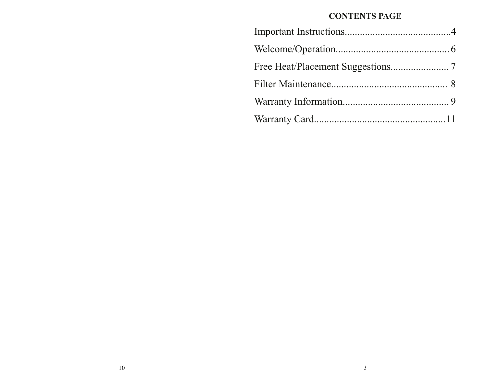## **CONTENTS PAGE**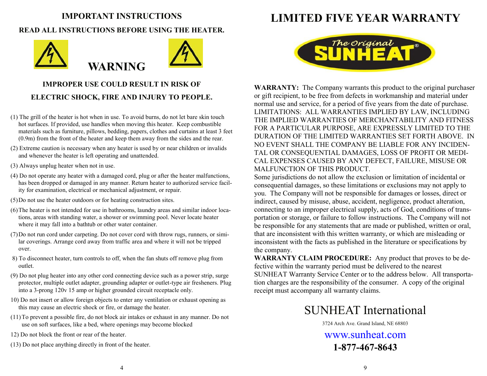## **IMPORTANT INSTRUCTIONS READ ALL INSTRUCTIONS BEFORE USING THE HEATER.**





## **IMPROPER USE COULD RESULT IN RISK OF ELECTRIC SHOCK, FIRE AND INJURY TO PEOPLE.**

**WARNING** 

- (1) The grill of the heater is hot when in use. To avoid burns, do not let bare skin touch hot surfaces. If provided, use handles when moving this heater. Keep combustible materials such as furniture, pillows, bedding, papers, clothes and curtains at least 3 feet (0.9m) from the front of the heater and keep them away from the sides and the rear.
- (2) Extreme caution is necessary when any heater is used by or near children or invalids and whenever the heater is left operating and unattended.
- (3) Always unplug heater when not in use.
- (4) Do not operate any heater with a damaged cord, plug or after the heater malfunctions, has been dropped or damaged in any manner. Return heater to authorized service facility for examination, electrical or mechanical adjustment, or repair.
- (5)Do not use the heater outdoors or for heating construction sites.
- (6)The heater is not intended for use in bathrooms, laundry areas and similar indoor locations, areas with standing water, a shower or swimming pool. Never locate heater where it may fall into a bathtub or other water container.
- (7)Do not run cord under carpeting. Do not cover cord with throw rugs, runners, or similar coverings. Arrange cord away from traffic area and where it will not be tripped over.
- 8) To disconnect heater, turn controls to off, when the fan shuts off remove plug from outlet.
- (9) Do not plug heater into any other cord connecting device such as a power strip, surge protector, multiple outlet adapter, grounding adapter or outlet-type air fresheners. Plug into a 3-prong 120v 15 amp or higher grounded circuit receptacle only.
- 10) Do not insert or allow foreign objects to enter any ventilation or exhaust opening as this may cause an electric shock or fire, or damage the heater.
- (11)To prevent a possible fire, do not block air intakes or exhaust in any manner. Do not use on soft surfaces, like a bed, where openings may become blocked
- 12) Do not block the front or rear of the heater.
- (13) Do not place anything directly in front of the heater.

# **LIMITED FIVE YEAR WARRANTY**



**WARRANTY:** The Company warrants this product to the original purchaser or gift recipient, to be free from defects in workmanship and material under normal use and service, for a period of five years from the date of purchase. LIMITATIONS: ALL WARRANTIES IMPLIED BY LAW, INCLUDING THE IMPLIED WARRANTIES OF MERCHANTABILITY AND FITNESS FOR A PARTICULAR PURPOSE, ARE EXPRESSLY LIMITED TO THE DURATION OF THE LIMITED WARRANTIES SET FORTH ABOVE. IN NO EVENT SHALL THE COMPANY BE LIABLE FOR ANY INCIDEN-TAL OR CONSEQUENTIAL DAMAGES, LOSS OF PROFIT OR MEDI-CAL EXPENSES CAUSED BY ANY DEFECT, FAILURE, MISUSE OR MALFUNCTION OF THIS PRODUCT.

Some jurisdictions do not allow the exclusion or limitation of incidental or consequential damages, so these limitations or exclusions may not apply to you. The Company will not be responsible for damages or losses, direct or indirect, caused by misuse, abuse, accident, negligence, product alteration, connecting to an improper electrical supply, acts of God, conditions of transportation or storage, or failure to follow instructions. The Company will not be responsible for any statements that are made or published, written or oral, that are inconsistent with this written warranty, or which are misleading or inconsistent with the facts as published in the literature or specifications by the company.

**WARRANTY CLAIM PROCEDURE:** Any product that proves to be defective within the warranty period must be delivered to the nearest SUNHEAT Warranty Service Center or to the address below. All transportation charges are the responsibility of the consumer. A copy of the original receipt must accompany all warranty claims.

# SUNHEAT International

3724 Arch Ave. Grand Island, NE 68803

www.sunheat.com **1-877-467-8643**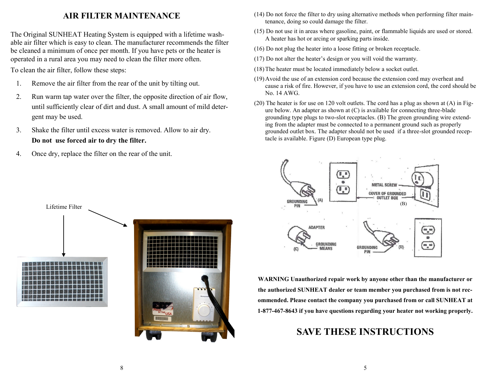### **AIR FILTER MAINTENANCE**

The Original SUNHEAT Heating System is equipped with a lifetime washable air filter which is easy to clean. The manufacturer recommends the filter be cleaned a minimum of once per month. If you have pets or the heater is operated in a rural area you may need to clean the filter more often.

To clean the air filter, follow these steps:

- 1. Remove the air filter from the rear of the unit by tilting out.
- 2. Run warm tap water over the filter, the opposite direction of air flow, until sufficiently clear of dirt and dust. A small amount of mild detergent may be used.
- 3. Shake the filter until excess water is removed. Allow to air dry. **Do not use forced air to dry the filter.**
- 4. Once dry, replace the filter on the rear of the unit.
- (14) Do not force the filter to dry using alternative methods when performing filter maintenance, doing so could damage the filter.
- (15) Do not use it in areas where gasoline, paint, or flammable liquids are used or stored. A heater has hot or arcing or sparking parts inside.
- (16) Do not plug the heater into a loose fitting or broken receptacle.
- (17) Do not alter the heater's design or you will void the warranty.
- (18)The heater must be located immediately below a socket outlet.
- (19)Avoid the use of an extension cord because the extension cord may overheat and cause a risk of fire. However, if you have to use an extension cord, the cord should be No. 14 AWG.
- (20) The heater is for use on 120 volt outlets. The cord has a plug as shown at (A) in Figure below. An adapter as shown at (C) is available for connecting three-blade grounding type plugs to two-slot receptacles. (B) The green grounding wire extending from the adapter must be connected to a permanent ground such as properly grounded outlet box. The adapter should not be used if a three-slot grounded receptacle is available. Figure (D) European type plug.



**WARNING Unauthorized repair work by anyone other than the manufacturer or the authorized SUNHEAT dealer or team member you purchased from is not recommended. Please contact the company you purchased from or call SUNHEAT at 1-877-467-8643 if you have questions regarding your heater not working properly.** 

# **SAVE THESE INSTRUCTIONS**